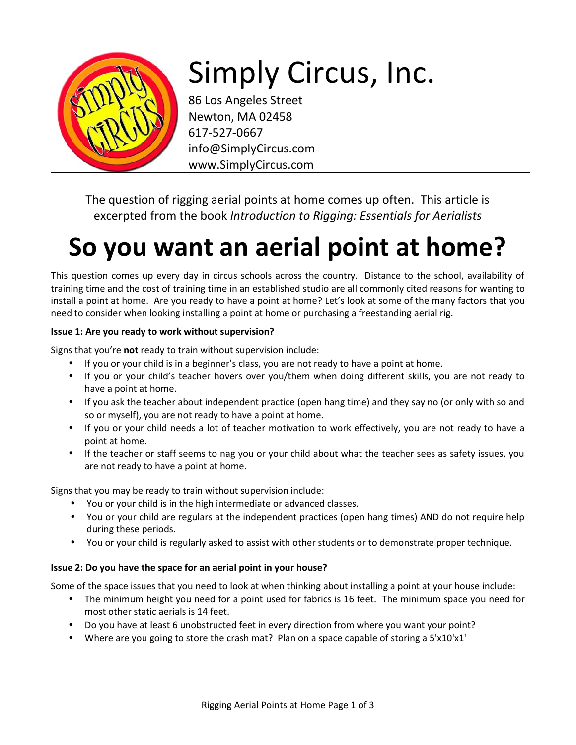

# Simply Circus, Inc.

86 Los Angeles Street Newton, MA 02458 617-527-0667 info@SimplyCircus.com www.SimplyCircus.com

The question of rigging aerial points at home comes up often. This article is excerpted from the book *Introduction to Rigging: Essentials for Aerialists*

## **So you want an aerial point at home?**

This question comes up every day in circus schools across the country. Distance to the school, availability of training time and the cost of training time in an established studio are all commonly cited reasons for wanting to install a point at home. Are you ready to have a point at home? Let's look at some of the many factors that you need to consider when looking installing a point at home or purchasing a freestanding aerial rig.

#### **Issue 1: Are you ready to work without supervision?**

Signs that you're **not** ready to train without supervision include:

- If you or your child is in a beginner's class, you are not ready to have a point at home.
- If you or your child's teacher hovers over you/them when doing different skills, you are not ready to have a point at home.
- If you ask the teacher about independent practice (open hang time) and they say no (or only with so and so or myself), you are not ready to have a point at home.
- If you or your child needs a lot of teacher motivation to work effectively, you are not ready to have a point at home.
- If the teacher or staff seems to nag you or your child about what the teacher sees as safety issues, you are not ready to have a point at home.

Signs that you may be ready to train without supervision include:

- You or your child is in the high intermediate or advanced classes.
- You or your child are regulars at the independent practices (open hang times) AND do not require help during these periods.
- You or your child is regularly asked to assist with other students or to demonstrate proper technique.

#### **Issue 2: Do you have the space for an aerial point in your house?**

Some of the space issues that you need to look at when thinking about installing a point at your house include:

- The minimum height you need for a point used for fabrics is 16 feet. The minimum space you need for most other static aerials is 14 feet.
- Do you have at least 6 unobstructed feet in every direction from where you want your point?
- Where are you going to store the crash mat? Plan on a space capable of storing a 5'x10'x1'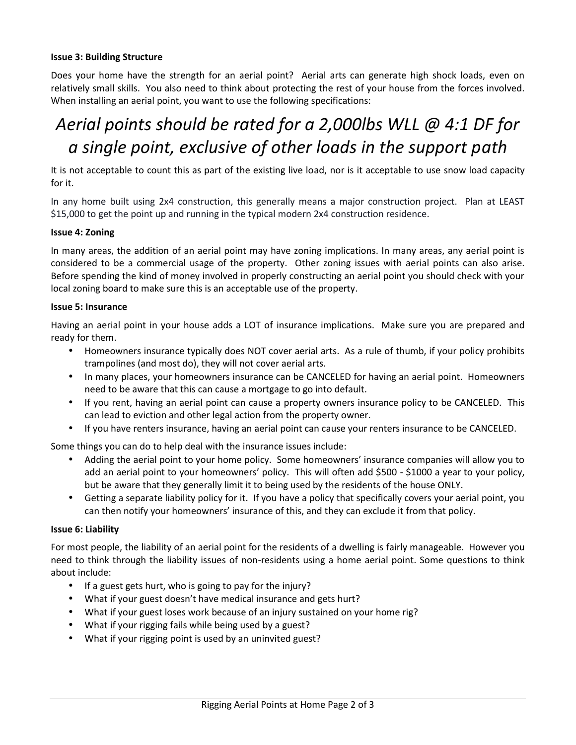#### **Issue 3: Building Structure**

Does your home have the strength for an aerial point? Aerial arts can generate high shock loads, even on relatively small skills. You also need to think about protecting the rest of your house from the forces involved. When installing an aerial point, you want to use the following specifications:

### *Aerial points should be rated for a 2,000lbs WLL @ 4:1 DF for a single point, exclusive of other loads in the support path*

It is not acceptable to count this as part of the existing live load, nor is it acceptable to use snow load capacity for it.

In any home built using 2x4 construction, this generally means a major construction project. Plan at LEAST \$15,000 to get the point up and running in the typical modern 2x4 construction residence.

#### **Issue 4: Zoning**

In many areas, the addition of an aerial point may have zoning implications. In many areas, any aerial point is considered to be a commercial usage of the property. Other zoning issues with aerial points can also arise. Before spending the kind of money involved in properly constructing an aerial point you should check with your local zoning board to make sure this is an acceptable use of the property.

#### **Issue 5: Insurance**

Having an aerial point in your house adds a LOT of insurance implications. Make sure you are prepared and ready for them.

- Homeowners insurance typically does NOT cover aerial arts. As a rule of thumb, if your policy prohibits trampolines (and most do), they will not cover aerial arts.
- In many places, your homeowners insurance can be CANCELED for having an aerial point. Homeowners need to be aware that this can cause a mortgage to go into default.
- If you rent, having an aerial point can cause a property owners insurance policy to be CANCELED. This can lead to eviction and other legal action from the property owner.
- If you have renters insurance, having an aerial point can cause your renters insurance to be CANCELED.

Some things you can do to help deal with the insurance issues include:

- Adding the aerial point to your home policy. Some homeowners' insurance companies will allow you to add an aerial point to your homeowners' policy. This will often add \$500 - \$1000 a year to your policy, but be aware that they generally limit it to being used by the residents of the house ONLY.
- Getting a separate liability policy for it. If you have a policy that specifically covers your aerial point, you can then notify your homeowners' insurance of this, and they can exclude it from that policy.

#### **Issue 6: Liability**

For most people, the liability of an aerial point for the residents of a dwelling is fairly manageable. However you need to think through the liability issues of non-residents using a home aerial point. Some questions to think about include:

- If a guest gets hurt, who is going to pay for the injury?
- What if your guest doesn't have medical insurance and gets hurt?
- What if your guest loses work because of an injury sustained on your home rig?
- What if your rigging fails while being used by a guest?
- What if your rigging point is used by an uninvited guest?